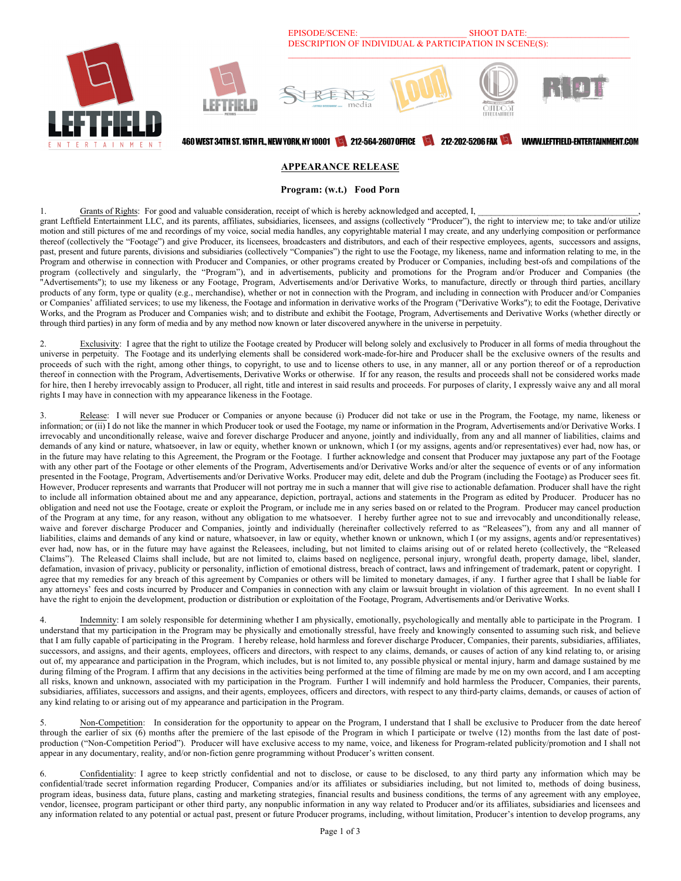

#### **APPEARANCE RELEASE**

**Program: (w.t.) Food Porn**

1. Grants of Rights: For good and valuable consideration, receipt of which is hereby acknowledged and accepted, I, grant Leftfield Entertainment LLC, and its parents, affiliates, subsidiaries, licensees, and assigns (collectively "Producer"), the right to interview me; to take and/or utilize motion and still pictures of me and recordings of my voice, social media handles, any copyrightable material I may create, and any underlying composition or performance thereof (collectively the "Footage") and give Producer, its licensees, broadcasters and distributors, and each of their respective employees, agents, successors and assigns, past, present and future parents, divisions and subsidiaries (collectively "Companies") the right to use the Footage, my likeness, name and information relating to me, in the Program and otherwise in connection with Producer and Companies, or other programs created by Producer or Companies, including best-ofs and compilations of the program (collectively and singularly, the "Program"), and in advertisements, publicity and promotions for the Program and/or Producer and Companies (the "Advertisements"); to use my likeness or any Footage, Program, Advertisements and/or Derivative Works, to manufacture, directly or through third parties, ancillary products of any form, type or quality (e.g., merchandise), whether or not in connection with the Program, and including in connection with Producer and/or Companies or Companies' affiliated services; to use my likeness, the Footage and information in derivative works of the Program ("Derivative Works"); to edit the Footage, Derivative Works, and the Program as Producer and Companies wish; and to distribute and exhibit the Footage, Program, Advertisements and Derivative Works (whether directly or through third parties) in any form of media and by any method now known or later discovered anywhere in the universe in perpetuity.

Exclusivity: I agree that the right to utilize the Footage created by Producer will belong solely and exclusively to Producer in all forms of media throughout the universe in perpetuity. The Footage and its underlying elements shall be considered work-made-for-hire and Producer shall be the exclusive owners of the results and proceeds of such with the right, among other things, to copyright, to use and to license others to use, in any manner, all or any portion thereof or of a reproduction thereof in connection with the Program, Advertisements, Derivative Works or otherwise. If for any reason, the results and proceeds shall not be considered works made for hire, then I hereby irrevocably assign to Producer, all right, title and interest in said results and proceeds. For purposes of clarity, I expressly waive any and all moral rights I may have in connection with my appearance likeness in the Footage.

Release: I will never sue Producer or Companies or anyone because (i) Producer did not take or use in the Program, the Footage, my name, likeness or information; or (ii) I do not like the manner in which Producer took or used the Footage, my name or information in the Program, Advertisements and/or Derivative Works. I irrevocably and unconditionally release, waive and forever discharge Producer and anyone, jointly and individually, from any and all manner of liabilities, claims and demands of any kind or nature, whatsoever, in law or equity, whether known or unknown, which I (or my assigns, agents and/or representatives) ever had, now has, or in the future may have relating to this Agreement, the Program or the Footage. I further acknowledge and consent that Producer may juxtapose any part of the Footage with any other part of the Footage or other elements of the Program, Advertisements and/or Derivative Works and/or alter the sequence of events or of any information presented in the Footage, Program, Advertisements and/or Derivative Works. Producer may edit, delete and dub the Program (including the Footage) as Producer sees fit. However, Producer represents and warrants that Producer will not portray me in such a manner that will give rise to actionable defamation. Producer shall have the right to include all information obtained about me and any appearance, depiction, portrayal, actions and statements in the Program as edited by Producer. Producer has no obligation and need not use the Footage, create or exploit the Program, or include me in any series based on or related to the Program. Producer may cancel production of the Program at any time, for any reason, without any obligation to me whatsoever. I hereby further agree not to sue and irrevocably and unconditionally release, waive and forever discharge Producer and Companies, jointly and individually (hereinafter collectively referred to as "Releasees"), from any and all manner of liabilities, claims and demands of any kind or nature, whatsoever, in law or equity, whether known or unknown, which I (or my assigns, agents and/or representatives) ever had, now has, or in the future may have against the Releasees, including, but not limited to claims arising out of or related hereto (collectively, the "Released Claims"). The Released Claims shall include, but are not limited to, claims based on negligence, personal injury, wrongful death, property damage, libel, slander, defamation, invasion of privacy, publicity or personality, infliction of emotional distress, breach of contract, laws and infringement of trademark, patent or copyright. I agree that my remedies for any breach of this agreement by Companies or others will be limited to monetary damages, if any. I further agree that I shall be liable for any attorneys' fees and costs incurred by Producer and Companies in connection with any claim or lawsuit brought in violation of this agreement. In no event shall I have the right to enjoin the development, production or distribution or exploitation of the Footage, Program, Advertisements and/or Derivative Works.

4. Indemnity: I am solely responsible for determining whether I am physically, emotionally, psychologically and mentally able to participate in the Program. I understand that my participation in the Program may be physically and emotionally stressful, have freely and knowingly consented to assuming such risk, and believe that I am fully capable of participating in the Program. I hereby release, hold harmless and forever discharge Producer, Companies, their parents, subsidiaries, affiliates, successors, and assigns, and their agents, employees, officers and directors, with respect to any claims, demands, or causes of action of any kind relating to, or arising out of, my appearance and participation in the Program, which includes, but is not limited to, any possible physical or mental injury, harm and damage sustained by me during filming of the Program. I affirm that any decisions in the activities being performed at the time of filming are made by me on my own accord, and I am accepting all risks, known and unknown, associated with my participation in the Program. Further I will indemnify and hold harmless the Producer, Companies, their parents, subsidiaries, affiliates, successors and assigns, and their agents, employees, officers and directors, with respect to any third-party claims, demands, or causes of action of any kind relating to or arising out of my appearance and participation in the Program.

Non-Competition: In consideration for the opportunity to appear on the Program, I understand that I shall be exclusive to Producer from the date hereof through the earlier of six (6) months after the premiere of the last episode of the Program in which I participate or twelve (12) months from the last date of postproduction ("Non-Competition Period"). Producer will have exclusive access to my name, voice, and likeness for Program-related publicity/promotion and I shall not appear in any documentary, reality, and/or non-fiction genre programming without Producer's written consent.

6. Confidentiality: I agree to keep strictly confidential and not to disclose, or cause to be disclosed, to any third party any information which may be confidential/trade secret information regarding Producer, Companies and/or its affiliates or subsidiaries including, but not limited to, methods of doing business, program ideas, business data, future plans, casting and marketing strategies, financial results and business conditions, the terms of any agreement with any employee, vendor, licensee, program participant or other third party, any nonpublic information in any way related to Producer and/or its affiliates, subsidiaries and licensees and any information related to any potential or actual past, present or future Producer programs, including, without limitation, Producer's intention to develop programs, any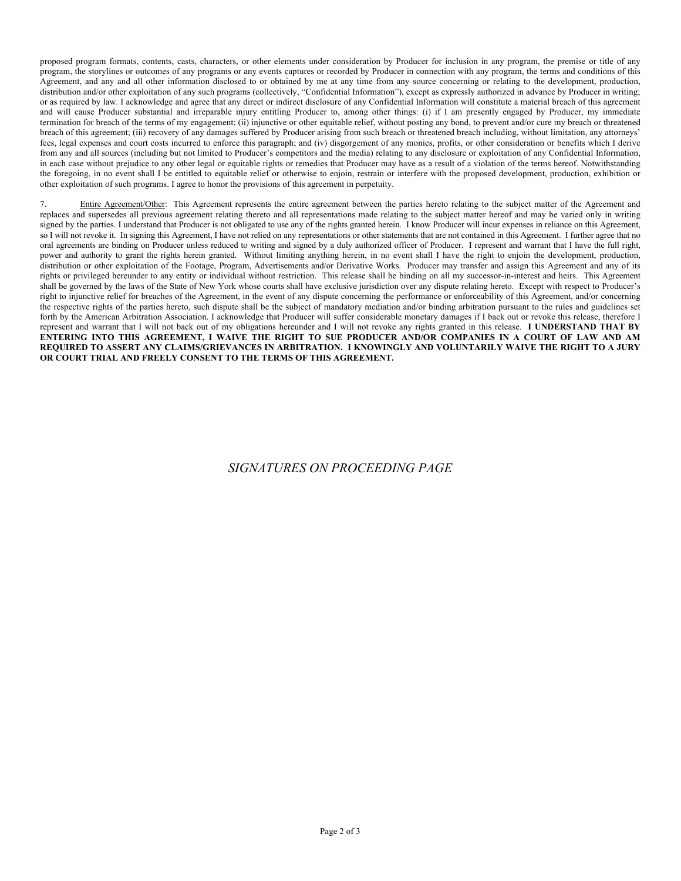proposed program formats, contents, casts, characters, or other elements under consideration by Producer for inclusion in any program, the premise or title of any program, the storylines or outcomes of any programs or any events captures or recorded by Producer in connection with any program, the terms and conditions of this Agreement, and any and all other information disclosed to or obtained by me at any time from any source concerning or relating to the development, production, distribution and/or other exploitation of any such programs (collectively, "Confidential Information"), except as expressly authorized in advance by Producer in writing; or as required by law. I acknowledge and agree that any direct or indirect disclosure of any Confidential Information will constitute a material breach of this agreement and will cause Producer substantial and irreparable injury entitling Producer to, among other things: (i) if I am presently engaged by Producer, my immediate termination for breach of the terms of my engagement; (ii) injunctive or other equitable relief, without posting any bond, to prevent and/or cure my breach or threatened breach of this agreement; (iii) recovery of any damages suffered by Producer arising from such breach or threatened breach including, without limitation, any attorneys' fees, legal expenses and court costs incurred to enforce this paragraph; and (iv) disgorgement of any monies, profits, or other consideration or benefits which I derive from any and all sources (including but not limited to Producer's competitors and the media) relating to any disclosure or exploitation of any Confidential Information, in each case without prejudice to any other legal or equitable rights or remedies that Producer may have as a result of a violation of the terms hereof. Notwithstanding the foregoing, in no event shall I be entitled to equitable relief or otherwise to enjoin, restrain or interfere with the proposed development, production, exhibition or other exploitation of such programs. I agree to honor the provisions of this agreement in perpetuity.

Entire Agreement/Other: This Agreement represents the entire agreement between the parties hereto relating to the subject matter of the Agreement and replaces and supersedes all previous agreement relating thereto and all representations made relating to the subject matter hereof and may be varied only in writing signed by the parties. I understand that Producer is not obligated to use any of the rights granted herein. I know Producer will incur expenses in reliance on this Agreement, so I will not revoke it. In signing this Agreement, I have not relied on any representations or other statements that are not contained in this Agreement. I further agree that no oral agreements are binding on Producer unless reduced to writing and signed by a duly authorized officer of Producer. I represent and warrant that I have the full right, power and authority to grant the rights herein granted. Without limiting anything herein, in no event shall I have the right to enjoin the development, production, distribution or other exploitation of the Footage, Program, Advertisements and/or Derivative Works. Producer may transfer and assign this Agreement and any of its rights or privileged hereunder to any entity or individual without restriction. This release shall be binding on all my successor-in-interest and heirs. This Agreement shall be governed by the laws of the State of New York whose courts shall have exclusive jurisdiction over any dispute relating hereto. Except with respect to Producer's right to injunctive relief for breaches of the Agreement, in the event of any dispute concerning the performance or enforceability of this Agreement, and/or concerning the respective rights of the parties hereto, such dispute shall be the subject of mandatory mediation and/or binding arbitration pursuant to the rules and guidelines set forth by the American Arbitration Association. I acknowledge that Producer will suffer considerable monetary damages if I back out or revoke this release, therefore I represent and warrant that I will not back out of my obligations hereunder and I will not revoke any rights granted in this release. **I UNDERSTAND THAT BY ENTERING INTO THIS AGREEMENT, I WAIVE THE RIGHT TO SUE PRODUCER AND/OR COMPANIES IN A COURT OF LAW AND AM REQUIRED TO ASSERT ANY CLAIMS/GRIEVANCES IN ARBITRATION. I KNOWINGLY AND VOLUNTARILY WAIVE THE RIGHT TO A JURY OR COURT TRIAL AND FREELY CONSENT TO THE TERMS OF THIS AGREEMENT.**

### *SIGNATURES ON PROCEEDING PAGE*